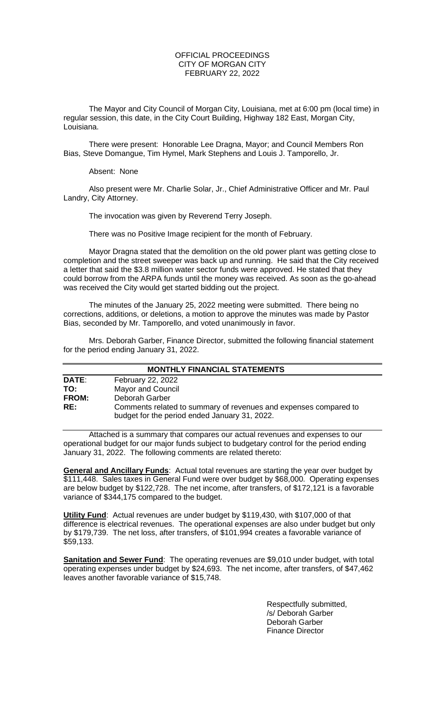### OFFICIAL PROCEEDINGS CITY OF MORGAN CITY FEBRUARY 22, 2022

The Mayor and City Council of Morgan City, Louisiana, met at 6:00 pm (local time) in regular session, this date, in the City Court Building, Highway 182 East, Morgan City, Louisiana.

There were present: Honorable Lee Dragna, Mayor; and Council Members Ron Bias, Steve Domangue, Tim Hymel, Mark Stephens and Louis J. Tamporello, Jr.

Absent: None

Also present were Mr. Charlie Solar, Jr., Chief Administrative Officer and Mr. Paul Landry, City Attorney.

The invocation was given by Reverend Terry Joseph.

There was no Positive Image recipient for the month of February.

Mayor Dragna stated that the demolition on the old power plant was getting close to completion and the street sweeper was back up and running. He said that the City received a letter that said the \$3.8 million water sector funds were approved. He stated that they could borrow from the ARPA funds until the money was received. As soon as the go-ahead was received the City would get started bidding out the project.

The minutes of the January 25, 2022 meeting were submitted. There being no corrections, additions, or deletions, a motion to approve the minutes was made by Pastor Bias, seconded by Mr. Tamporello, and voted unanimously in favor.

Mrs. Deborah Garber, Finance Director, submitted the following financial statement for the period ending January 31, 2022.

| <b>MONTHLY FINANCIAL STATEMENTS</b> |                                                                                                                   |  |  |
|-------------------------------------|-------------------------------------------------------------------------------------------------------------------|--|--|
| DATE:                               | February 22, 2022                                                                                                 |  |  |
| TO:                                 | <b>Mayor and Council</b>                                                                                          |  |  |
| <b>FROM:</b>                        | Deborah Garber                                                                                                    |  |  |
| RE:                                 | Comments related to summary of revenues and expenses compared to<br>budget for the period ended January 31, 2022. |  |  |

Attached is a summary that compares our actual revenues and expenses to our operational budget for our major funds subject to budgetary control for the period ending January 31, 2022. The following comments are related thereto:

**General and Ancillary Funds**: Actual total revenues are starting the year over budget by \$111,448. Sales taxes in General Fund were over budget by \$68,000. Operating expenses are below budget by \$122,728. The net income, after transfers, of \$172,121 is a favorable variance of \$344,175 compared to the budget.

**Utility Fund**: Actual revenues are under budget by \$119,430, with \$107,000 of that difference is electrical revenues. The operational expenses are also under budget but only by \$179,739. The net loss, after transfers, of \$101,994 creates a favorable variance of \$59,133.

**Sanitation and Sewer Fund**: The operating revenues are \$9,010 under budget, with total operating expenses under budget by \$24,693. The net income, after transfers, of \$47,462 leaves another favorable variance of \$15,748.

> Respectfully submitted, /s/ Deborah Garber Deborah Garber Finance Director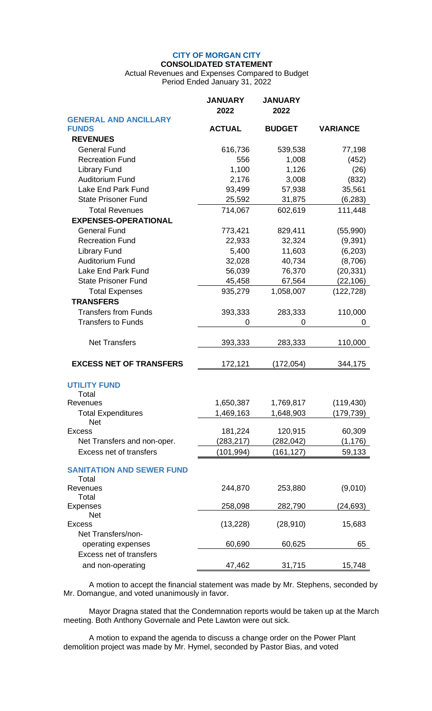# **CITY OF MORGAN CITY CONSOLIDATED STATEMENT**

Actual Revenues and Expenses Compared to Budget Period Ended January 31, 2022

|                                           | <b>JANUARY</b><br>2022 | <b>JANUARY</b><br>2022 |                 |
|-------------------------------------------|------------------------|------------------------|-----------------|
| <b>GENERAL AND ANCILLARY</b>              |                        |                        |                 |
| <b>FUNDS</b>                              | <b>ACTUAL</b>          | <b>BUDGET</b>          | <b>VARIANCE</b> |
| <b>REVENUES</b>                           |                        |                        |                 |
| <b>General Fund</b>                       | 616,736                | 539,538                | 77,198          |
| <b>Recreation Fund</b>                    | 556                    | 1,008                  | (452)           |
| <b>Library Fund</b>                       | 1,100                  | 1,126                  | (26)            |
| <b>Auditorium Fund</b>                    | 2,176                  | 3,008                  | (832)           |
| Lake End Park Fund                        | 93,499                 | 57,938                 | 35,561          |
| <b>State Prisoner Fund</b>                | 25,592                 | 31,875                 | (6, 283)        |
| <b>Total Revenues</b>                     | 714,067                | 602,619                | 111,448         |
| <b>EXPENSES-OPERATIONAL</b>               |                        |                        |                 |
| <b>General Fund</b>                       | 773,421                | 829,411                | (55,990)        |
| <b>Recreation Fund</b>                    | 22,933                 | 32,324                 | (9, 391)        |
| <b>Library Fund</b>                       | 5,400                  | 11,603                 | (6,203)         |
| <b>Auditorium Fund</b>                    | 32,028                 | 40,734                 | (8,706)         |
| Lake End Park Fund                        | 56,039                 | 76,370                 | (20, 331)       |
| <b>State Prisoner Fund</b>                | 45,458                 | 67,564                 | (22, 106)       |
| <b>Total Expenses</b>                     | 935,279                | 1,058,007              | (122, 728)      |
| <b>TRANSFERS</b>                          |                        |                        |                 |
| <b>Transfers from Funds</b>               | 393,333                | 283,333                | 110,000         |
| <b>Transfers to Funds</b>                 | 0                      | 0                      | 0               |
|                                           |                        |                        |                 |
| <b>Net Transfers</b>                      | 393,333                | 283,333                | 110,000         |
| <b>EXCESS NET OF TRANSFERS</b>            | 172,121                | (172, 054)             | 344,175         |
| <b>UTILITY FUND</b>                       |                        |                        |                 |
| Total                                     |                        |                        |                 |
| Revenues                                  | 1,650,387              | 1,769,817              | (119, 430)      |
| <b>Total Expenditures</b>                 | 1,469,163              | 1,648,903              | (179, 739)      |
| <b>Net</b><br><b>Excess</b>               | 181,224                | 120,915                | 60,309          |
| Net Transfers and non-oper.               | (283, 217)             | (282, 042)             | (1, 176)        |
| Excess net of transfers                   |                        |                        |                 |
|                                           | (101, 994)             | (161, 127)             | 59,133          |
| <b>SANITATION AND SEWER FUND</b><br>Total |                        |                        |                 |
| Revenues<br>Total                         | 244,870                | 253,880                | (9,010)         |
| <b>Expenses</b>                           | 258,098                | 282,790                | (24,693)        |
| <b>Net</b>                                |                        |                        |                 |
| <b>Excess</b>                             | (13, 228)              | (28, 910)              | 15,683          |
| Net Transfers/non-                        |                        |                        |                 |
| operating expenses                        | 60,690                 | 60,625                 | 65              |
| Excess net of transfers                   |                        |                        |                 |
| and non-operating                         | 47,462                 | 31,715                 | 15,748          |

A motion to accept the financial statement was made by Mr. Stephens, seconded by Mr. Domangue, and voted unanimously in favor.

Mayor Dragna stated that the Condemnation reports would be taken up at the March meeting. Both Anthony Governale and Pete Lawton were out sick.

A motion to expand the agenda to discuss a change order on the Power Plant demolition project was made by Mr. Hymel, seconded by Pastor Bias, and voted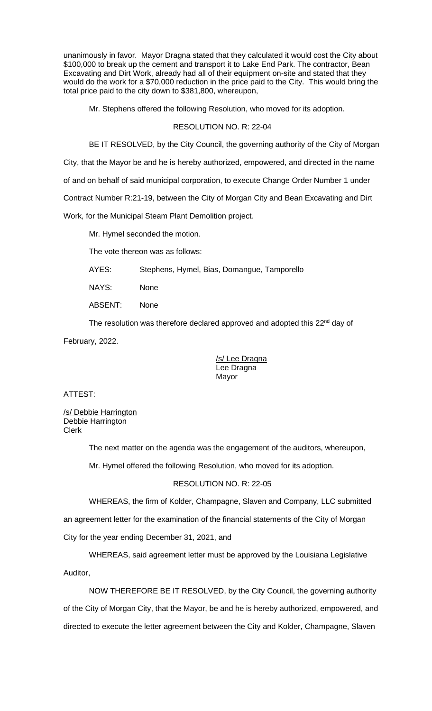unanimously in favor. Mayor Dragna stated that they calculated it would cost the City about \$100,000 to break up the cement and transport it to Lake End Park. The contractor, Bean Excavating and Dirt Work, already had all of their equipment on-site and stated that they would do the work for a \$70,000 reduction in the price paid to the City. This would bring the total price paid to the city down to \$381,800, whereupon,

Mr. Stephens offered the following Resolution, who moved for its adoption.

# RESOLUTION NO. R: 22-04

BE IT RESOLVED, by the City Council, the governing authority of the City of Morgan

City, that the Mayor be and he is hereby authorized, empowered, and directed in the name

of and on behalf of said municipal corporation, to execute Change Order Number 1 under

Contract Number R:21-19, between the City of Morgan City and Bean Excavating and Dirt

Work, for the Municipal Steam Plant Demolition project.

Mr. Hymel seconded the motion.

The vote thereon was as follows:

AYES: Stephens, Hymel, Bias, Domangue, Tamporello

NAYS: None

ABSENT: None

The resolution was therefore declared approved and adopted this 22<sup>nd</sup> day of

February, 2022.

/s/ Lee Dragna Lee Dragna Mayor

ATTEST:

/s/ Debbie Harrington Debbie Harrington Clerk

The next matter on the agenda was the engagement of the auditors, whereupon,

Mr. Hymel offered the following Resolution, who moved for its adoption.

# RESOLUTION NO. R: 22-05

WHEREAS, the firm of Kolder, Champagne, Slaven and Company, LLC submitted

an agreement letter for the examination of the financial statements of the City of Morgan City for the year ending December 31, 2021, and

WHEREAS, said agreement letter must be approved by the Louisiana Legislative Auditor,

NOW THEREFORE BE IT RESOLVED, by the City Council, the governing authority of the City of Morgan City, that the Mayor, be and he is hereby authorized, empowered, and directed to execute the letter agreement between the City and Kolder, Champagne, Slaven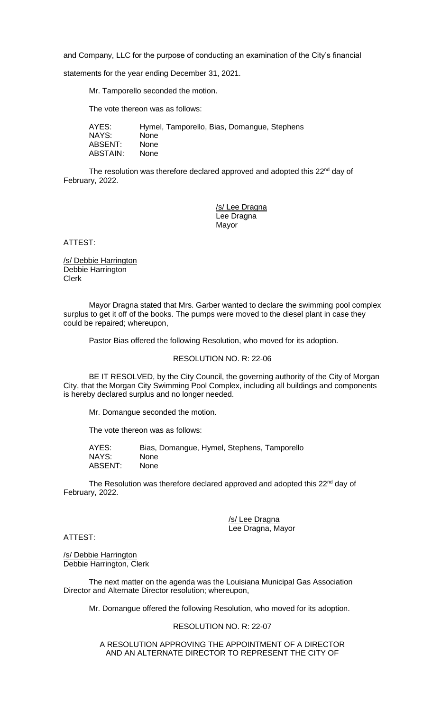and Company, LLC for the purpose of conducting an examination of the City's financial

statements for the year ending December 31, 2021.

Mr. Tamporello seconded the motion.

The vote thereon was as follows:

AYES: Hymel, Tamporello, Bias, Domangue, Stephens NAYS: None ABSENT: None ABSTAIN: None

The resolution was therefore declared approved and adopted this 22<sup>nd</sup> day of February, 2022.

> /s/ Lee Dragna Lee Dragna Mayor

ATTEST:

/s/ Debbie Harrington Debbie Harrington Clerk

Mayor Dragna stated that Mrs. Garber wanted to declare the swimming pool complex surplus to get it off of the books. The pumps were moved to the diesel plant in case they could be repaired; whereupon,

Pastor Bias offered the following Resolution, who moved for its adoption.

RESOLUTION NO. R: 22-06

BE IT RESOLVED, by the City Council, the governing authority of the City of Morgan City, that the Morgan City Swimming Pool Complex, including all buildings and components is hereby declared surplus and no longer needed.

Mr. Domangue seconded the motion.

The vote thereon was as follows:

AYES: Bias, Domangue, Hymel, Stephens, Tamporello NAYS: None ABSENT: None

The Resolution was therefore declared approved and adopted this 22<sup>nd</sup> day of February, 2022.

> /s/ Lee Dragna Lee Dragna, Mayor

ATTEST:

/s/ Debbie Harrington Debbie Harrington, Clerk

The next matter on the agenda was the Louisiana Municipal Gas Association Director and Alternate Director resolution; whereupon,

Mr. Domangue offered the following Resolution, who moved for its adoption.

RESOLUTION NO. R: 22-07

A RESOLUTION APPROVING THE APPOINTMENT OF A DIRECTOR AND AN ALTERNATE DIRECTOR TO REPRESENT THE CITY OF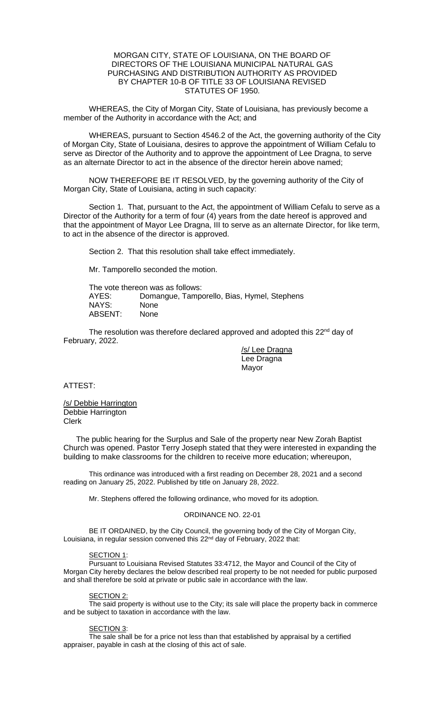# MORGAN CITY, STATE OF LOUISIANA, ON THE BOARD OF DIRECTORS OF THE LOUISIANA MUNICIPAL NATURAL GAS PURCHASING AND DISTRIBUTION AUTHORITY AS PROVIDED BY CHAPTER 10-B OF TITLE 33 OF LOUISIANA REVISED STATUTES OF 1950.

WHEREAS, the City of Morgan City, State of Louisiana, has previously become a member of the Authority in accordance with the Act; and

WHEREAS, pursuant to Section 4546.2 of the Act, the governing authority of the City of Morgan City, State of Louisiana, desires to approve the appointment of William Cefalu to serve as Director of the Authority and to approve the appointment of Lee Dragna, to serve as an alternate Director to act in the absence of the director herein above named;

NOW THEREFORE BE IT RESOLVED, by the governing authority of the City of Morgan City, State of Louisiana, acting in such capacity:

Section 1. That, pursuant to the Act, the appointment of William Cefalu to serve as a Director of the Authority for a term of four (4) years from the date hereof is approved and that the appointment of Mayor Lee Dragna, III to serve as an alternate Director, for like term, to act in the absence of the director is approved.

Section 2. That this resolution shall take effect immediately.

Mr. Tamporello seconded the motion.

The vote thereon was as follows: AYES: Domangue, Tamporello, Bias, Hymel, Stephens NAYS: None<br>ABSENT: None ABSENT:

The resolution was therefore declared approved and adopted this 22<sup>nd</sup> day of February, 2022.

> /s/ Lee Dragna Lee Dragna Mayor

ATTEST:

/s/ Debbie Harrington Debbie Harrington Clerk

The public hearing for the Surplus and Sale of the property near New Zorah Baptist Church was opened. Pastor Terry Joseph stated that they were interested in expanding the building to make classrooms for the children to receive more education; whereupon,

This ordinance was introduced with a first reading on December 28, 2021 and a second reading on January 25, 2022. Published by title on January 28, 2022.

Mr. Stephens offered the following ordinance, who moved for its adoption.

### ORDINANCE NO. 22-01

BE IT ORDAINED, by the City Council, the governing body of the City of Morgan City, Louisiana, in regular session convened this 22<sup>nd</sup> day of February, 2022 that:

### SECTION 1:

Pursuant to Louisiana Revised Statutes 33:4712, the Mayor and Council of the City of Morgan City hereby declares the below described real property to be not needed for public purposed and shall therefore be sold at private or public sale in accordance with the law.

### SECTION 2:

The said property is without use to the City; its sale will place the property back in commerce and be subject to taxation in accordance with the law.

### SECTION 3:

The sale shall be for a price not less than that established by appraisal by a certified appraiser, payable in cash at the closing of this act of sale.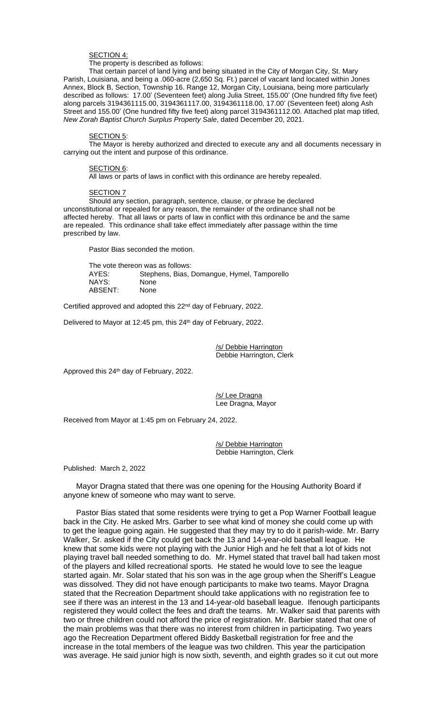### SECTION 4:

The property is described as follows:

That certain parcel of land lying and being situated in the City of Morgan City, St. Mary Parish, Louisiana, and being a .060-acre (2,650 Sq. Ft.) parcel of vacant land located within Jones Annex, Block B, Section, Township 16. Range 12, Morgan City, Louisiana, being more particularly described as follows: 17.00' (Seventeen feet) along Julia Street, 155.00' (One hundred fifty five feet) along parcels 3194361115.00, 3194361117.00, 3194361118.00, 17.00' (Seventeen feet) along Ash Street and 155.00' (One hundred fifty five feet) along parcel 3194361112.00. Attached plat map titled, *New Zorah Baptist Church Surplus Property Sale*, dated December 20, 2021.

#### SECTION 5:

The Mayor is hereby authorized and directed to execute any and all documents necessary in carrying out the intent and purpose of this ordinance.

#### SECTION 6:

All laws or parts of laws in conflict with this ordinance are hereby repealed.

#### SECTION 7

Should any section, paragraph, sentence, clause, or phrase be declared unconstitutional or repealed for any reason, the remainder of the ordinance shall not be affected hereby. That all laws or parts of law in conflict with this ordinance be and the same are repealed. This ordinance shall take effect immediately after passage within the time prescribed by law.

Pastor Bias seconded the motion.

The vote thereon was as follows: AYES: Stephens, Bias, Domangue, Hymel, Tamporello NAYS: None<br>ABSENT: None ABSENT:

Certified approved and adopted this 22<sup>nd</sup> day of February, 2022.

Delivered to Mayor at 12:45 pm, this 24<sup>th</sup> day of February, 2022.

/s/ Debbie Harrington Debbie Harrington, Clerk

Approved this 24<sup>th</sup> day of February, 2022.

/s/ Lee Dragna Lee Dragna, Mayor

Received from Mayor at 1:45 pm on February 24, 2022.

/s/ Debbie Harrington Debbie Harrington, Clerk

Published: March 2, 2022

Mayor Dragna stated that there was one opening for the Housing Authority Board if anyone knew of someone who may want to serve.

Pastor Bias stated that some residents were trying to get a Pop Warner Football league back in the City. He asked Mrs. Garber to see what kind of money she could come up with to get the league going again. He suggested that they may try to do it parish-wide. Mr. Barry Walker, Sr. asked if the City could get back the 13 and 14-year-old baseball league. He knew that some kids were not playing with the Junior High and he felt that a lot of kids not playing travel ball needed something to do. Mr. Hymel stated that travel ball had taken most of the players and killed recreational sports. He stated he would love to see the league started again. Mr. Solar stated that his son was in the age group when the Sheriff's League was dissolved. They did not have enough participants to make two teams. Mayor Dragna stated that the Recreation Department should take applications with no registration fee to see if there was an interest in the 13 and 14-year-old baseball league. Ifenough participants registered they would collect the fees and draft the teams. Mr. Walker said that parents with two or three children could not afford the price of registration. Mr. Barbier stated that one of the main problems was that there was no interest from children in participating. Two years ago the Recreation Department offered Biddy Basketball registration for free and the increase in the total members of the league was two children. This year the participation was average. He said junior high is now sixth, seventh, and eighth grades so it cut out more